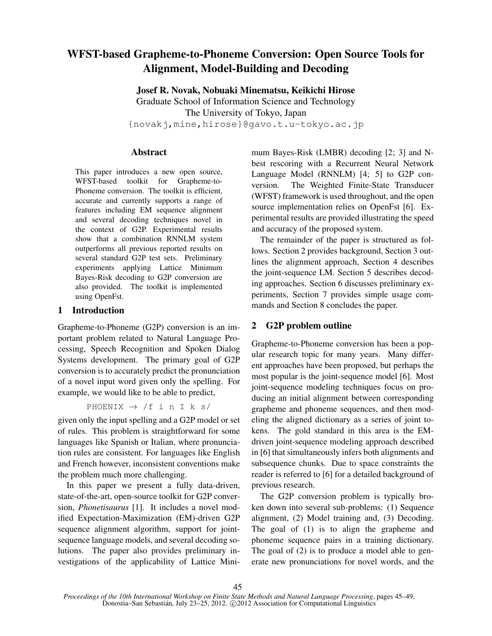# WFST-based Grapheme-to-Phoneme Conversion: Open Source Tools for Alignment, Model-Building and Decoding

Josef R. Novak, Nobuaki Minematsu, Keikichi Hirose Graduate School of Information Science and Technology The University of Tokyo, Japan {novakj,mine,hirose}@gavo.t.u-tokyo.ac.jp

# Abstract

This paper introduces a new open source, WFST-based toolkit for Grapheme-to-Phoneme conversion. The toolkit is efficient, accurate and currently supports a range of features including EM sequence alignment and several decoding techniques novel in the context of G2P. Experimental results show that a combination RNNLM system outperforms all previous reported results on several standard G2P test sets. Preliminary experiments applying Lattice Minimum Bayes-Risk decoding to G2P conversion are also provided. The toolkit is implemented using OpenFst.

# 1 Introduction

Grapheme-to-Phoneme (G2P) conversion is an important problem related to Natural Language Processing, Speech Recognition and Spoken Dialog Systems development. The primary goal of G2P conversion is to accurately predict the pronunciation of a novel input word given only the spelling. For example, we would like to be able to predict,

PHOENIX  $\rightarrow$  /f i n I k s/

given only the input spelling and a G2P model or set of rules. This problem is straightforward for some languages like Spanish or Italian, where pronunciation rules are consistent. For languages like English and French however, inconsistent conventions make the problem much more challenging.

In this paper we present a fully data-driven, state-of-the-art, open-source toolkit for G2P conversion, *Phonetisaurus* [1]. It includes a novel modified Expectation-Maximization (EM)-driven G2P sequence alignment algorithm, support for jointsequence language models, and several decoding solutions. The paper also provides preliminary investigations of the applicability of Lattice Minimum Bayes-Risk (LMBR) decoding [2; 3] and Nbest rescoring with a Recurrent Neural Network Language Model (RNNLM) [4; 5] to G2P conversion. The Weighted Finite-State Transducer (WFST) framework is used throughout, and the open source implementation relies on OpenFst [6]. Experimental results are provided illustrating the speed and accuracy of the proposed system.

The remainder of the paper is structured as follows. Section 2 provides background, Section 3 outlines the alignment approach, Section 4 describes the joint-sequence LM. Section 5 describes decoding approaches. Section 6 discusses preliminary experiments, Section 7 provides simple usage commands and Section 8 concludes the paper.

# 2 G2P problem outline

Grapheme-to-Phoneme conversion has been a popular research topic for many years. Many different approaches have been proposed, but perhaps the most popular is the joint-sequence model [6]. Most joint-sequence modeling techniques focus on producing an initial alignment between corresponding grapheme and phoneme sequences, and then modeling the aligned dictionary as a series of joint tokens. The gold standard in this area is the EMdriven joint-sequence modeling approach described in [6] that simultaneously infers both alignments and subsequence chunks. Due to space constraints the reader is referred to [6] for a detailed background of previous research.

The G2P conversion problem is typically broken down into several sub-problems: (1) Sequence alignment, (2) Model training and, (3) Decoding. The goal of (1) is to align the grapheme and phoneme sequence pairs in a training dictionary. The goal of (2) is to produce a model able to generate new pronunciations for novel words, and the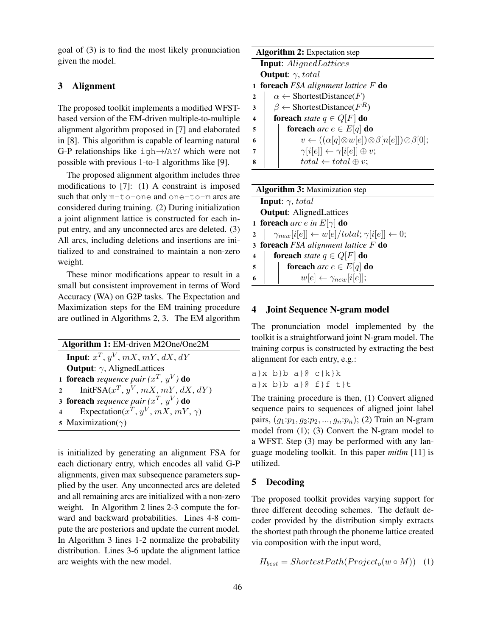goal of (3) is to find the most likely pronunciation given the model.

# 3 Alignment

The proposed toolkit implements a modified WFSTbased version of the EM-driven multiple-to-multiple alignment algorithm proposed in [7] and elaborated in [8]. This algorithm is capable of learning natural G-P relationships like igh→/AY/ which were not possible with previous 1-to-1 algorithms like [9].

The proposed alignment algorithm includes three modifications to [7]: (1) A constraint is imposed such that only m-to-one and one-to-m arcs are considered during training. (2) During initialization a joint alignment lattice is constructed for each input entry, and any unconnected arcs are deleted. (3) All arcs, including deletions and insertions are initialized to and constrained to maintain a non-zero weight.

These minor modifications appear to result in a small but consistent improvement in terms of Word Accuracy (WA) on G2P tasks. The Expectation and Maximization steps for the EM training procedure are outlined in Algorithms 2, 3. The EM algorithm

| Algorithm 1: EM-driven M2One/One2M                        |  |  |  |
|-----------------------------------------------------------|--|--|--|
| <b>Input:</b> $x^T$ , $y^V$ , $mX$ , $mY$ , $dX$ , $dY$   |  |  |  |
| <b>Output:</b> $\gamma$ , AlignedLattices                 |  |  |  |
| <b>1 foreach</b> sequence pair $(x^T, y^V)$ do            |  |  |  |
| 2   InitFSA $(x^T, y^V, mX, mY, dX, dY)$                  |  |  |  |
| 3 foreach sequence pair $(x^T, y^V)$ do                   |  |  |  |
| 4   Expectation( $x^T$ , $y^V$ , $mX$ , $mY$ , $\gamma$ ) |  |  |  |
| 5 Maximization( $\gamma$ )                                |  |  |  |

is initialized by generating an alignment FSA for each dictionary entry, which encodes all valid G-P alignments, given max subsequence parameters supplied by the user. Any unconnected arcs are deleted and all remaining arcs are initialized with a non-zero weight. In Algorithm 2 lines 2-3 compute the forward and backward probabilities. Lines 4-8 compute the arc posteriors and update the current model. In Algorithm 3 lines 1-2 normalize the probability distribution. Lines 3-6 update the alignment lattice arc weights with the new model.



| <b>Algorithm 3:</b> Maximization step |                                                                               |  |  |  |
|---------------------------------------|-------------------------------------------------------------------------------|--|--|--|
|                                       | <b>Input:</b> $\gamma$ , total                                                |  |  |  |
|                                       | <b>Output:</b> AlignedLattices                                                |  |  |  |
|                                       | 1 foreach arc e in $E[\gamma]$ do                                             |  |  |  |
|                                       | $2 \mid \gamma_{new}[i[e]] \leftarrow w[e]/total; \gamma[i[e]] \leftarrow 0;$ |  |  |  |
|                                       | 3 foreach $FSA$ alignment lattice $F$ do                                      |  |  |  |
|                                       | <b>for<br/>each</b> state $q \in Q[F]$ do<br>4                                |  |  |  |
|                                       | <b>foreach</b> arc $e \in E[q]$ do<br>$5 \mid \cdot \mid$                     |  |  |  |
| $\overline{6}$                        | $  \t w[e] \leftarrow \gamma_{new}[i[e];$                                     |  |  |  |

# 4 Joint Sequence N-gram model

The pronunciation model implemented by the toolkit is a straightforward joint N-gram model. The training corpus is constructed by extracting the best alignment for each entry, e.g.:

 $a\}x$  b}b  $a\}$ @  $c\{k\}$ a}x b}b a} $\theta$  f}f t}t

The training procedure is then, (1) Convert aligned sequence pairs to sequences of aligned joint label pairs,  $(g_1:p_1, g_2:p_2, ..., g_n:p_n)$ ; (2) Train an N-gram model from (1); (3) Convert the N-gram model to a WFST. Step (3) may be performed with any language modeling toolkit. In this paper *mitlm* [11] is utilized.

# 5 Decoding

The proposed toolkit provides varying support for three different decoding schemes. The default decoder provided by the distribution simply extracts the shortest path through the phoneme lattice created via composition with the input word,

$$
H_{best} = ShortestPath(Project_o(w \circ M)) \quad (1)
$$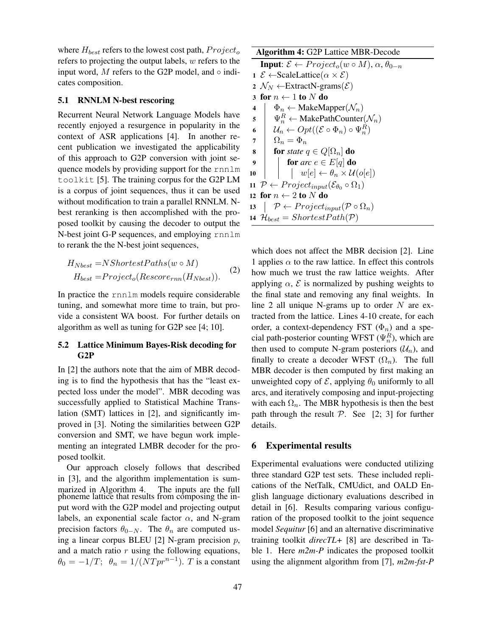where  $H_{best}$  refers to the lowest cost path,  $Project_o$ refers to projecting the output labels, w refers to the input word, M refers to the G2P model, and  $\circ$  indicates composition.

### 5.1 RNNLM N-best rescoring

Recurrent Neural Network Language Models have recently enjoyed a resurgence in popularity in the context of ASR applications [4]. In another recent publication we investigated the applicability of this approach to G2P conversion with joint sequence models by providing support for the rnnlm toolkit [5]. The training corpus for the G2P LM is a corpus of joint sequences, thus it can be used without modification to train a parallel RNNLM. Nbest reranking is then accomplished with the proposed toolkit by causing the decoder to output the N-best joint G-P sequences, and employing rnnlm to rerank the the N-best joint sequences,

$$
H_{Nbest} = NShortest Paths(w \circ M)
$$
  
\n
$$
H_{best} = Project_0(Rescore_{rnn}(H_{Nbest}))
$$
 (2)

In practice the rnnlm models require considerable tuning, and somewhat more time to train, but provide a consistent WA boost. For further details on algorithm as well as tuning for G2P see [4; 10].

# 5.2 Lattice Minimum Bayes-Risk decoding for G2P

In [2] the authors note that the aim of MBR decoding is to find the hypothesis that has the "least expected loss under the model". MBR decoding was successfully applied to Statistical Machine Translation (SMT) lattices in [2], and significantly improved in [3]. Noting the similarities between G2P conversion and SMT, we have begun work implementing an integrated LMBR decoder for the proposed toolkit.

Our approach closely follows that described in [3], and the algorithm implementation is summarized in Algorithm 4. The inputs are the full phoneme lattice that results from composing the input word with the G2P model and projecting output labels, an exponential scale factor  $\alpha$ , and N-gram precision factors  $\theta_{0-N}$ . The  $\theta_n$  are computed using a linear corpus BLEU [2] N-gram precision  $p$ , and a match ratio  $r$  using the following equations,  $\theta_0 = -1/T; \ \theta_n = 1/(N T p r^{n-1}).$  T is a constant

#### Algorithm 4: G2P Lattice MBR-Decode

```
Input: \mathcal{E} \leftarrow Project_0(w \circ M), \alpha, \theta_{0-n}1 ε ← ScaleLattice(\alpha \times \mathcal{E})
  2 \mathcal{N}_N \leftarrowExtractN-grams(\mathcal{E})3 for n \leftarrow 1 to N do<br>4 \Phi_n \leftarrow \text{MakeMa}4 \Phi_n \leftarrow \text{MakeMapper}(\mathcal{N}_n)<br>
5 \Psi_n^R \leftarrow \text{MakePathCounter}\mathfrak{s} \Psi_n^R \leftarrow \text{MakePathCounter}(\mathcal{N}_n)6 \big| \mathcal{U}_n \leftarrow Opt((\mathcal{E} \circ \Phi_n) \circ \Psi_n^R)7 \Omega_n = \Phi_n8 for state q \in Q[\Omega_n] do
  9 for \textit{arc } e \in E[q] do
10 \vert \vert \vert w[e] \leftarrow \theta_n \times \mathcal{U}(o[e])11 P \leftarrow Project_{input}(\mathcal{E}_{\theta_0} \circ \Omega_1)12 for n \leftarrow 2 to N do<br>
13 \downarrow P \leftarrow Project_{ir}\mathcal{P} \leftarrow Project_{input}(\mathcal{P} \circ \Omega_n)14 \mathcal{H}_{best} = ShortestPath(\mathcal{P})
```
which does not affect the MBR decision [2]. Line 1 applies  $\alpha$  to the raw lattice. In effect this controls how much we trust the raw lattice weights. After applying  $\alpha$ ,  $\mathcal E$  is normalized by pushing weights to the final state and removing any final weights. In line 2 all unique N-grams up to order  $N$  are extracted from the lattice. Lines 4-10 create, for each order, a context-dependency FST  $(\Phi_n)$  and a special path-posterior counting WFST  $(\Psi_n^R)$ , which are then used to compute N-gram posteriors  $(\mathcal{U}_n)$ , and finally to create a decoder WFST  $(\Omega_n)$ . The full MBR decoder is then computed by first making an unweighted copy of  $\mathcal E$ , applying  $\theta_0$  uniformly to all arcs, and iteratively composing and input-projecting with each  $\Omega_n$ . The MBR hypothesis is then the best path through the result  $P$ . See [2; 3] for further details.

# 6 Experimental results

Experimental evaluations were conducted utilizing three standard G2P test sets. These included replications of the NetTalk, CMUdict, and OALD English language dictionary evaluations described in detail in [6]. Results comparing various configuration of the proposed toolkit to the joint sequence model *Sequitur* [6] and an alternative discriminative training toolkit *direcTL+* [8] are described in Table 1. Here *m2m-P* indicates the proposed toolkit using the alignment algorithm from [7], *m2m-fst-P*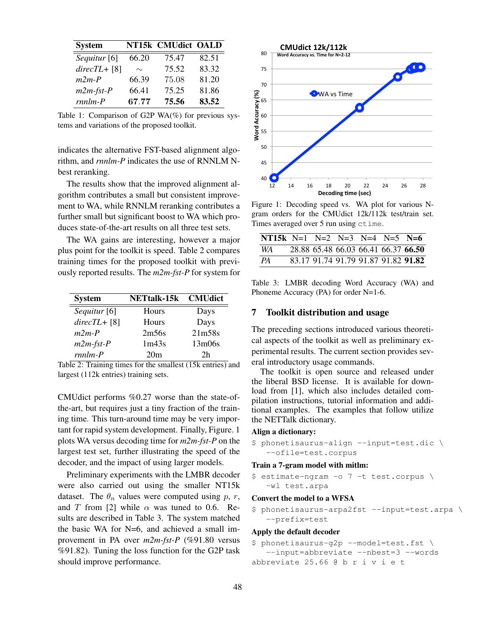| <b>System</b>           |        | NT15k CMUdict OALD |       |
|-------------------------|--------|--------------------|-------|
| Sequitur <sup>[6]</sup> | 66.20  | 75.47              | 82.51 |
| $directL + [8]$         | $\sim$ | 75.52              | 83.32 |
| $m2m-P$                 | 66.39  | 75.08              | 81.20 |
| $m2m$ -fst- $P$         | 66.41  | 75.25              | 81.86 |
| $rnnlm-P$               | 67.77  | 75.56              | 83.52 |

Table 1: Comparison of G2P WA $(\%)$  for previous systems and variations of the proposed toolkit.

indicates the alternative FST-based alignment algorithm, and *rnnlm-P* indicates the use of RNNLM Nbest reranking.

The results show that the improved alignment algorithm contributes a small but consistent improvement to WA, while RNNLM reranking contributes a further small but significant boost to WA which produces state-of-the-art results on all three test sets.

The WA gains are interesting, however a major plus point for the toolkit is speed. Table 2 compares training times for the proposed toolkit with previously reported results. The *m2m-fst-P* for system for

| <b>System</b>           | <b>NETtalk-15k CMUdict</b> |        |
|-------------------------|----------------------------|--------|
| Sequitur <sup>[6]</sup> | Hours                      | Days   |
| $directL + [8]$         | Hours                      | Days   |
| $m2m-P$                 | 2m56s                      | 21m58s |
| $m2m$ -fst- $P$         | 1m43s                      | 13m06s |
| $rmlm$ - $P$            | 20 <sub>m</sub>            | 2h     |

Table 2: Training times for the smallest (15k entries) and largest (112k entries) training sets.

CMUdict performs %0.27 worse than the state-ofthe-art, but requires just a tiny fraction of the training time. This turn-around time may be very important for rapid system development. Finally, Figure. 1 plots WA versus decoding time for *m2m-fst-P* on the largest test set, further illustrating the speed of the decoder, and the impact of using larger models.

Preliminary experiments with the LMBR decoder were also carried out using the smaller NT15k dataset. The  $\theta_n$  values were computed using p, r, and T from [2] while  $\alpha$  was tuned to 0.6. Results are described in Table 3. The system matched the basic WA for N=6, and achieved a small improvement in PA over *m2m-fst-P* (%91.80 versus %91.82). Tuning the loss function for the G2P task should improve performance.



Figure 1: Decoding speed vs. WA plot for various Ngram orders for the CMUdict 12k/112k test/train set. Times averaged over 5 run using ctime.

| NT15k N=1 N=2 N=3 N=4 N=5 N=6 |  |  |                                     |                                     |
|-------------------------------|--|--|-------------------------------------|-------------------------------------|
| WA 1                          |  |  | 28.88 65.48 66.03 66.41 66.37 66.50 |                                     |
| PA                            |  |  |                                     | 83.17 91.74 91.79 91.87 91.82 91.82 |

Table 3: LMBR decoding Word Accuracy (WA) and Phoneme Accuracy (PA) for order N=1-6.

#### 7 Toolkit distribution and usage

The preceding sections introduced various theoretical aspects of the toolkit as well as preliminary experimental results. The current section provides several introductory usage commands.

The toolkit is open source and released under the liberal BSD license. It is available for download from [1], which also includes detailed compilation instructions, tutorial information and additional examples. The examples that follow utilize the NETTalk dictionary.

### Align a dictionary:

\$ phonetisaurus-align --input=test.dic \ --ofile=test.corpus

#### Train a 7-gram model with mitlm:

\$ estimate-ngram -o 7 -t test.corpus \ -wl test.arpa

#### Convert the model to a WFSA

```
$ phonetisaurus-arpa2fst --input=test.arpa \
  --prefix=test
```
#### Apply the default decoder

```
$ phonetisaurus-g2p --model=test.fst \
   --input=abbreviate --nbest=3 --words
abbreviate 25.66 @ b r i v i e t
```